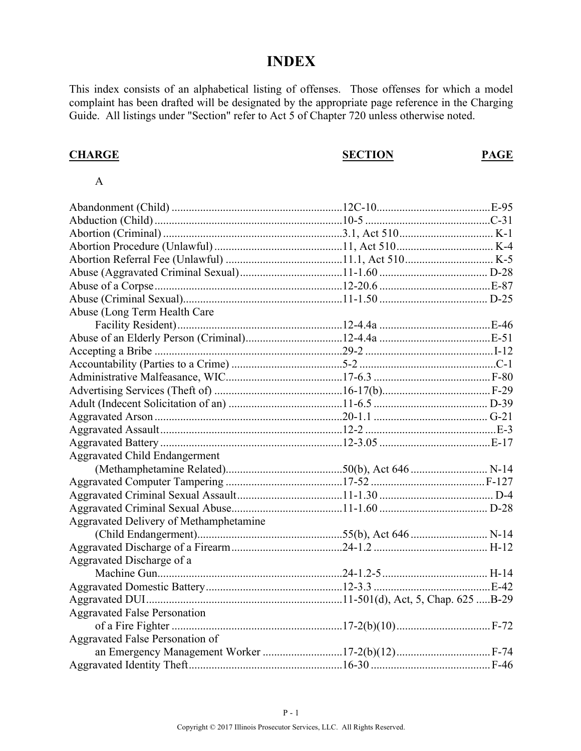# **INDEX**

This index consists of an alphabetical listing of offenses. Those offenses for which a model complaint has been drafted will be designated by the appropriate page reference in the Charging Guide. All listings under "Section" refer to Act 5 of Chapter 720 unless otherwise noted.

### **CHARGE SECTION PAGE**

#### A

| Abuse (Long Term Health Care           |  |
|----------------------------------------|--|
|                                        |  |
|                                        |  |
|                                        |  |
|                                        |  |
|                                        |  |
|                                        |  |
|                                        |  |
|                                        |  |
|                                        |  |
|                                        |  |
| <b>Aggravated Child Endangerment</b>   |  |
|                                        |  |
|                                        |  |
|                                        |  |
|                                        |  |
| Aggravated Delivery of Methamphetamine |  |
|                                        |  |
|                                        |  |
| Aggravated Discharge of a              |  |
|                                        |  |
|                                        |  |
|                                        |  |
| <b>Aggravated False Personation</b>    |  |
|                                        |  |
| Aggravated False Personation of        |  |
|                                        |  |
|                                        |  |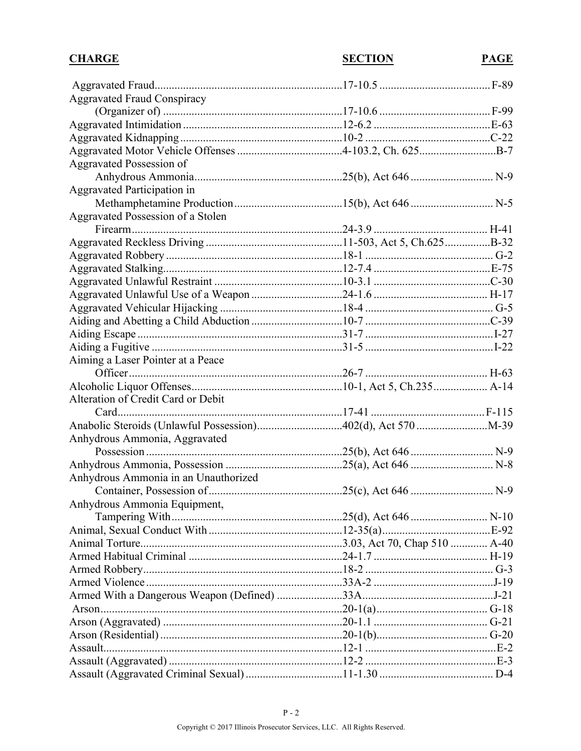| <b>CHARGE</b>                        | <b>SECTION</b> | PAGE |
|--------------------------------------|----------------|------|
|                                      |                |      |
| <b>Aggravated Fraud Conspiracy</b>   |                |      |
|                                      |                |      |
|                                      |                |      |
|                                      |                |      |
|                                      |                |      |
| Aggravated Possession of             |                |      |
|                                      |                |      |
| Aggravated Participation in          |                |      |
|                                      |                |      |
| Aggravated Possession of a Stolen    |                |      |
|                                      |                |      |
|                                      |                |      |
|                                      |                |      |
|                                      |                |      |
|                                      |                |      |
|                                      |                |      |
|                                      |                |      |
|                                      |                |      |
|                                      |                |      |
|                                      |                |      |
| Aiming a Laser Pointer at a Peace    |                |      |
|                                      |                |      |
|                                      |                |      |
| Alteration of Credit Card or Debit   |                |      |
|                                      |                |      |
|                                      |                |      |
| Anhydrous Ammonia, Aggravated        |                |      |
|                                      |                |      |
|                                      |                |      |
| Anhydrous Ammonia in an Unauthorized |                |      |
|                                      |                |      |
| Anhydrous Ammonia Equipment,         |                |      |
|                                      |                |      |
|                                      |                |      |
|                                      |                |      |
|                                      |                |      |
|                                      |                |      |
|                                      |                |      |
|                                      |                |      |
|                                      |                |      |
|                                      |                |      |
|                                      |                |      |
|                                      |                |      |
|                                      |                |      |
|                                      |                |      |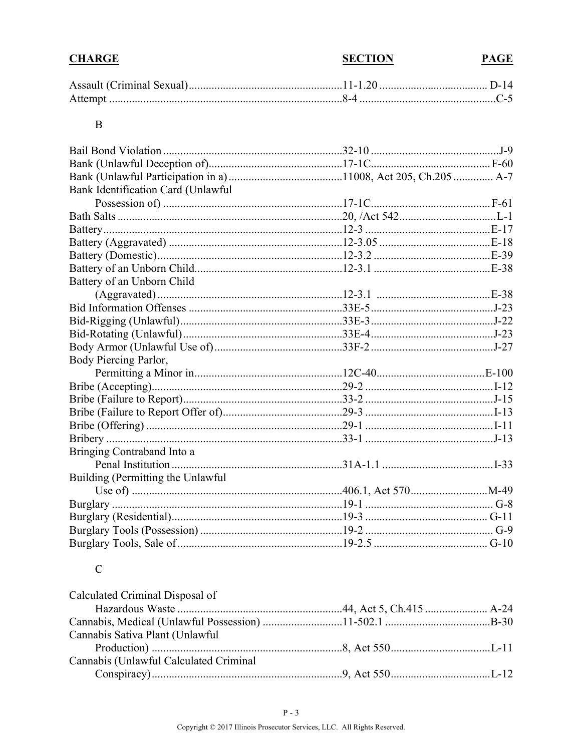| <b>CHARGE</b> | <b>SECTION</b> | <b>PAGE</b> |
|---------------|----------------|-------------|
|               |                |             |

#### $\, {\bf B}$

| Bank Identification Card (Unlawful |  |
|------------------------------------|--|
|                                    |  |
|                                    |  |
|                                    |  |
|                                    |  |
|                                    |  |
|                                    |  |
| Battery of an Unborn Child         |  |
|                                    |  |
|                                    |  |
|                                    |  |
|                                    |  |
|                                    |  |
| Body Piercing Parlor,              |  |
|                                    |  |
|                                    |  |
|                                    |  |
|                                    |  |
|                                    |  |
|                                    |  |
| Bringing Contraband Into a         |  |
|                                    |  |
| Building (Permitting the Unlawful  |  |
|                                    |  |
|                                    |  |
|                                    |  |
|                                    |  |
|                                    |  |

# ${\bf C}$

| Calculated Criminal Disposal of        |  |
|----------------------------------------|--|
|                                        |  |
|                                        |  |
| Cannabis Sativa Plant (Unlawful        |  |
|                                        |  |
| Cannabis (Unlawful Calculated Criminal |  |
|                                        |  |
|                                        |  |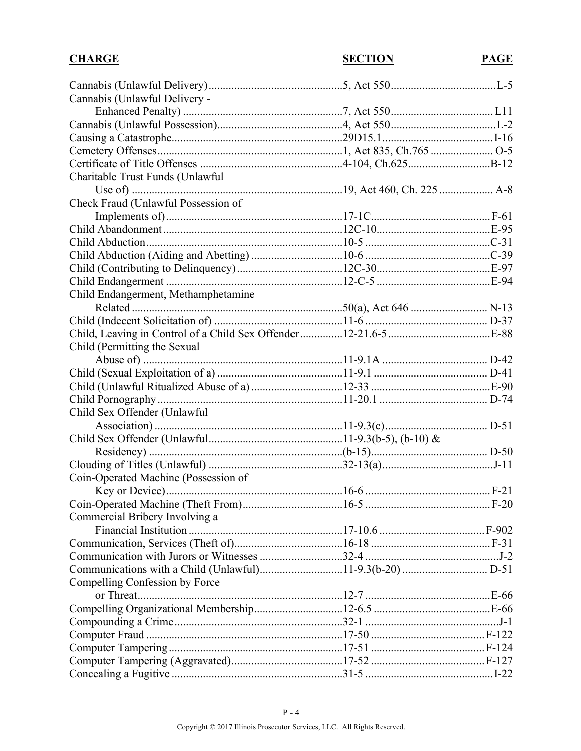| <b>CHARGE</b>                                                  | <b>SECTION</b> | <b>PAGE</b> |
|----------------------------------------------------------------|----------------|-------------|
|                                                                |                |             |
| Cannabis (Unlawful Delivery -                                  |                |             |
|                                                                |                |             |
|                                                                |                |             |
|                                                                |                |             |
|                                                                |                |             |
|                                                                |                |             |
| Charitable Trust Funds (Unlawful                               |                |             |
|                                                                |                |             |
| Check Fraud (Unlawful Possession of                            |                |             |
|                                                                |                |             |
|                                                                |                |             |
|                                                                |                |             |
|                                                                |                |             |
|                                                                |                |             |
|                                                                |                |             |
| Child Endangerment, Methamphetamine                            |                |             |
|                                                                |                |             |
|                                                                |                |             |
| Child, Leaving in Control of a Child Sex Offender12-21.6-5E-88 |                |             |
| Child (Permitting the Sexual                                   |                |             |
|                                                                |                |             |
|                                                                |                |             |
|                                                                |                |             |
|                                                                |                |             |
|                                                                |                |             |
| Child Sex Offender (Unlawful                                   |                |             |
|                                                                |                |             |
|                                                                |                |             |
|                                                                |                |             |
|                                                                |                |             |
| Coin-Operated Machine (Possession of                           |                |             |
|                                                                |                |             |
|                                                                |                |             |
| Commercial Bribery Involving a                                 |                |             |
|                                                                |                |             |
|                                                                |                |             |
|                                                                |                |             |
|                                                                |                |             |
| Compelling Confession by Force                                 |                |             |
|                                                                |                |             |
|                                                                |                |             |
|                                                                |                |             |
|                                                                |                |             |
|                                                                |                |             |
|                                                                |                |             |
|                                                                |                |             |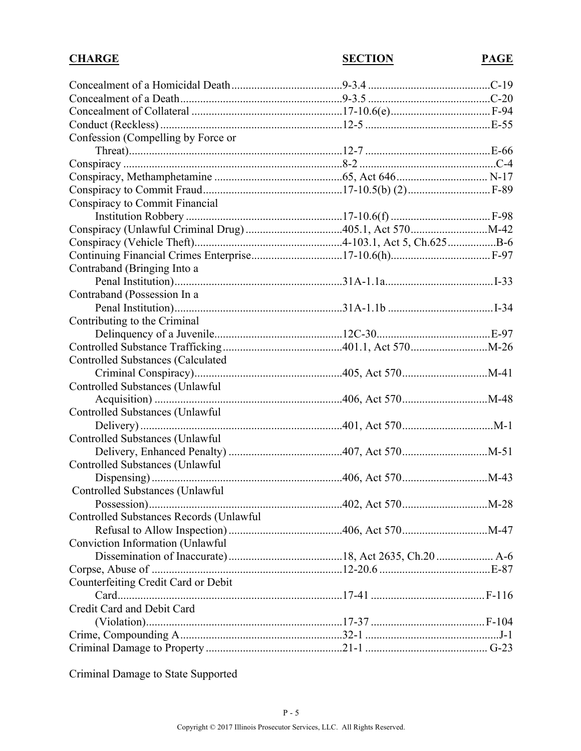| Confession (Compelling by Force or<br>Conspiracy to Commit Financial<br>Contraband (Bringing Into a<br>Contraband (Possession In a<br>Contributing to the Criminal<br><b>Controlled Substances (Calculated)</b><br>Controlled Substances (Unlawful)<br>Controlled Substances (Unlawful<br>Controlled Substances (Unlawful<br>Controlled Substances (Unlawful)<br>Controlled Substances (Unlawful)<br>Controlled Substances Records (Unlawful<br>Conviction Information (Unlawful<br>Counterfeiting Credit Card or Debit<br>Credit Card and Debit Card | <b>CHARGE</b> | <b>SECTION</b> | <b>PAGE</b> |
|-------------------------------------------------------------------------------------------------------------------------------------------------------------------------------------------------------------------------------------------------------------------------------------------------------------------------------------------------------------------------------------------------------------------------------------------------------------------------------------------------------------------------------------------------------|---------------|----------------|-------------|
|                                                                                                                                                                                                                                                                                                                                                                                                                                                                                                                                                       |               |                |             |
|                                                                                                                                                                                                                                                                                                                                                                                                                                                                                                                                                       |               |                |             |
|                                                                                                                                                                                                                                                                                                                                                                                                                                                                                                                                                       |               |                |             |
|                                                                                                                                                                                                                                                                                                                                                                                                                                                                                                                                                       |               |                |             |
|                                                                                                                                                                                                                                                                                                                                                                                                                                                                                                                                                       |               |                |             |
|                                                                                                                                                                                                                                                                                                                                                                                                                                                                                                                                                       |               |                |             |
|                                                                                                                                                                                                                                                                                                                                                                                                                                                                                                                                                       |               |                |             |
|                                                                                                                                                                                                                                                                                                                                                                                                                                                                                                                                                       |               |                |             |
|                                                                                                                                                                                                                                                                                                                                                                                                                                                                                                                                                       |               |                |             |
|                                                                                                                                                                                                                                                                                                                                                                                                                                                                                                                                                       |               |                |             |
|                                                                                                                                                                                                                                                                                                                                                                                                                                                                                                                                                       |               |                |             |
|                                                                                                                                                                                                                                                                                                                                                                                                                                                                                                                                                       |               |                |             |
|                                                                                                                                                                                                                                                                                                                                                                                                                                                                                                                                                       |               |                |             |
|                                                                                                                                                                                                                                                                                                                                                                                                                                                                                                                                                       |               |                |             |
|                                                                                                                                                                                                                                                                                                                                                                                                                                                                                                                                                       |               |                |             |
|                                                                                                                                                                                                                                                                                                                                                                                                                                                                                                                                                       |               |                |             |
|                                                                                                                                                                                                                                                                                                                                                                                                                                                                                                                                                       |               |                |             |
|                                                                                                                                                                                                                                                                                                                                                                                                                                                                                                                                                       |               |                |             |
|                                                                                                                                                                                                                                                                                                                                                                                                                                                                                                                                                       |               |                |             |
|                                                                                                                                                                                                                                                                                                                                                                                                                                                                                                                                                       |               |                |             |
|                                                                                                                                                                                                                                                                                                                                                                                                                                                                                                                                                       |               |                |             |
|                                                                                                                                                                                                                                                                                                                                                                                                                                                                                                                                                       |               |                |             |
|                                                                                                                                                                                                                                                                                                                                                                                                                                                                                                                                                       |               |                |             |
|                                                                                                                                                                                                                                                                                                                                                                                                                                                                                                                                                       |               |                |             |
|                                                                                                                                                                                                                                                                                                                                                                                                                                                                                                                                                       |               |                |             |
|                                                                                                                                                                                                                                                                                                                                                                                                                                                                                                                                                       |               |                |             |
|                                                                                                                                                                                                                                                                                                                                                                                                                                                                                                                                                       |               |                |             |
|                                                                                                                                                                                                                                                                                                                                                                                                                                                                                                                                                       |               |                |             |
|                                                                                                                                                                                                                                                                                                                                                                                                                                                                                                                                                       |               |                |             |
|                                                                                                                                                                                                                                                                                                                                                                                                                                                                                                                                                       |               |                |             |
|                                                                                                                                                                                                                                                                                                                                                                                                                                                                                                                                                       |               |                |             |
|                                                                                                                                                                                                                                                                                                                                                                                                                                                                                                                                                       |               |                |             |
|                                                                                                                                                                                                                                                                                                                                                                                                                                                                                                                                                       |               |                |             |
|                                                                                                                                                                                                                                                                                                                                                                                                                                                                                                                                                       |               |                |             |
|                                                                                                                                                                                                                                                                                                                                                                                                                                                                                                                                                       |               |                |             |
|                                                                                                                                                                                                                                                                                                                                                                                                                                                                                                                                                       |               |                |             |
|                                                                                                                                                                                                                                                                                                                                                                                                                                                                                                                                                       |               |                |             |
|                                                                                                                                                                                                                                                                                                                                                                                                                                                                                                                                                       |               |                |             |
|                                                                                                                                                                                                                                                                                                                                                                                                                                                                                                                                                       |               |                |             |
|                                                                                                                                                                                                                                                                                                                                                                                                                                                                                                                                                       |               |                |             |
|                                                                                                                                                                                                                                                                                                                                                                                                                                                                                                                                                       |               |                |             |
|                                                                                                                                                                                                                                                                                                                                                                                                                                                                                                                                                       |               |                |             |
|                                                                                                                                                                                                                                                                                                                                                                                                                                                                                                                                                       |               |                |             |
|                                                                                                                                                                                                                                                                                                                                                                                                                                                                                                                                                       |               |                |             |

Criminal Damage to State Supported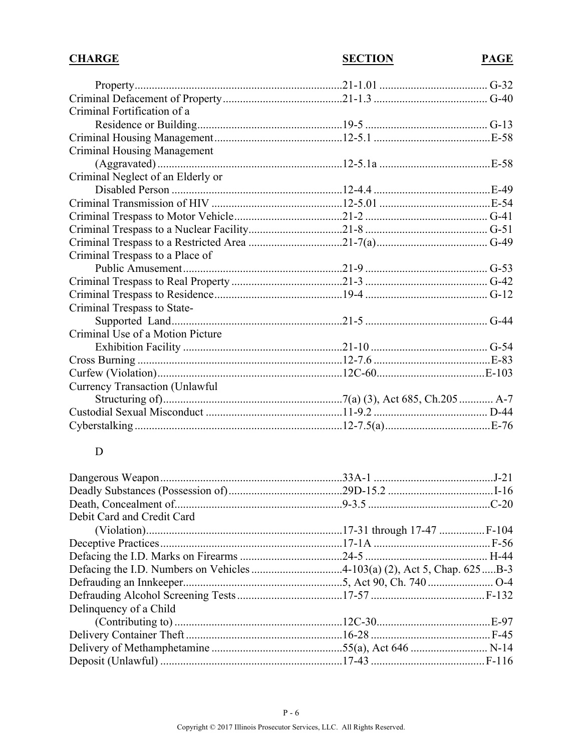| <b>SECTION</b> | PAGE |
|----------------|------|
|                |      |
|                |      |
|                |      |
|                |      |
|                |      |
|                |      |
|                |      |
|                |      |
|                |      |
|                |      |
|                |      |
|                |      |
|                |      |
|                |      |
|                |      |
|                |      |
|                |      |
|                |      |
|                |      |
|                |      |
|                |      |
|                |      |
|                |      |
|                |      |
|                |      |
|                |      |
|                |      |
|                |      |

# $\mathbf{D}$

| Debit Card and Credit Card |  |
|----------------------------|--|
|                            |  |
|                            |  |
|                            |  |
|                            |  |
|                            |  |
|                            |  |
| Delinquency of a Child     |  |
|                            |  |
|                            |  |
|                            |  |
|                            |  |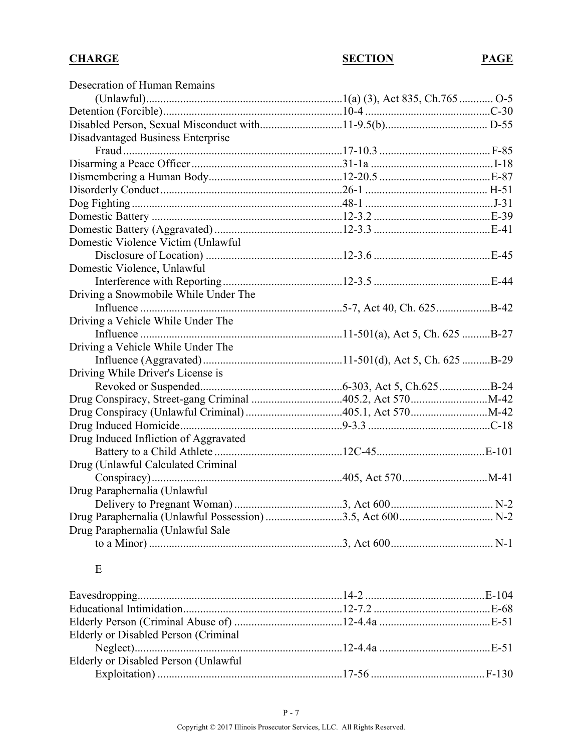| Desecration of Human Remains          |  |
|---------------------------------------|--|
|                                       |  |
|                                       |  |
|                                       |  |
| Disadvantaged Business Enterprise     |  |
|                                       |  |
|                                       |  |
|                                       |  |
|                                       |  |
|                                       |  |
|                                       |  |
|                                       |  |
| Domestic Violence Victim (Unlawful    |  |
|                                       |  |
| Domestic Violence, Unlawful           |  |
|                                       |  |
| Driving a Snowmobile While Under The  |  |
|                                       |  |
| Driving a Vehicle While Under The     |  |
|                                       |  |
| Driving a Vehicle While Under The     |  |
|                                       |  |
| Driving While Driver's License is     |  |
|                                       |  |
|                                       |  |
|                                       |  |
|                                       |  |
| Drug Induced Infliction of Aggravated |  |
|                                       |  |
| Drug (Unlawful Calculated Criminal    |  |
|                                       |  |
| Drug Paraphernalia (Unlawful          |  |
|                                       |  |
|                                       |  |
| Drug Paraphernalia (Unlawful Sale     |  |
|                                       |  |
|                                       |  |

#### E

| Elderly or Disabled Person (Criminal  |  |
|---------------------------------------|--|
|                                       |  |
| Elderly or Disabled Person (Unlawful) |  |
|                                       |  |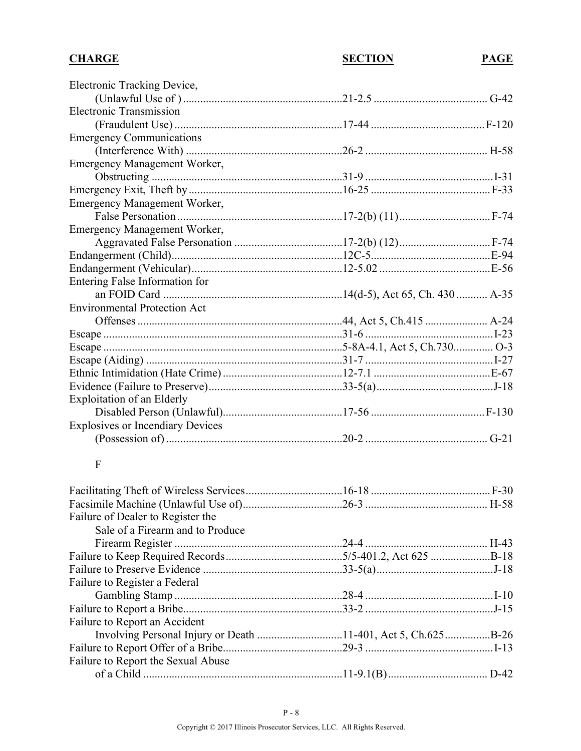### **CHARGE SECTION PAGE** Electronic Tracking Device, (Unlawful Use of )........................................................21-2.5 ........................................ G-42 Electronic Transmission (Fraudulent Use) ...........................................................17-44 ........................................F-120 Emergency Communications (Interference With) .......................................................26-2 ........................................... H-58 Emergency Management Worker, Obstructing ...................................................................31-9 .............................................I-31 Emergency Exit, Theft by......................................................16-25 ..........................................F-33 Emergency Management Worker, False Personation ..........................................................17-2(b) (11)................................F-74 Emergency Management Worker, Aggravated False Personation ......................................17-2(b) (12)................................F-74 Endangerment (Child)............................................................12C-5..........................................E-94 Endangerment (Vehicular).....................................................12-5.02 .......................................E-56 Entering False Information for an FOID Card ...............................................................14(d-5), Act 65, Ch. 430 ........... A-35 Environmental Protection Act Offenses........................................................................44, Act 5, Ch.415 ...................... A-24 Escape ....................................................................................31-6 .............................................I-23 Escape ....................................................................................5-8A-4.1, Act 5, Ch.730.............. O-3 Escape (Aiding) .....................................................................31-7 .............................................I-27 Ethnic Intimidation (Hate Crime)..........................................12-7.1 .........................................E-67 Evidence (Failure to Preserve)...............................................33-5(a).........................................J-18 Exploitation of an Elderly Disabled Person (Unlawful)..........................................17-56 ........................................F-130 Explosives or Incendiary Devices (Possession of)..............................................................20-2 ........................................... G-21 F Facilitating Theft of Wireless Services..................................16-18 ..........................................F-30 Facsimile Machine (Unlawful Use of)...................................26-3 ........................................... H-58 Failure of Dealer to Register the Sale of a Firearm and to Produce Firearm Register ...........................................................24-4 ........................................... H-43 Failure to Keep Required Records.........................................5/5-401.2, Act 625 .....................B-18 Failure to Preserve Evidence .................................................33-5(a).........................................J-18 Failure to Register a Federal Gambling Stamp ...........................................................28-4 .............................................I-10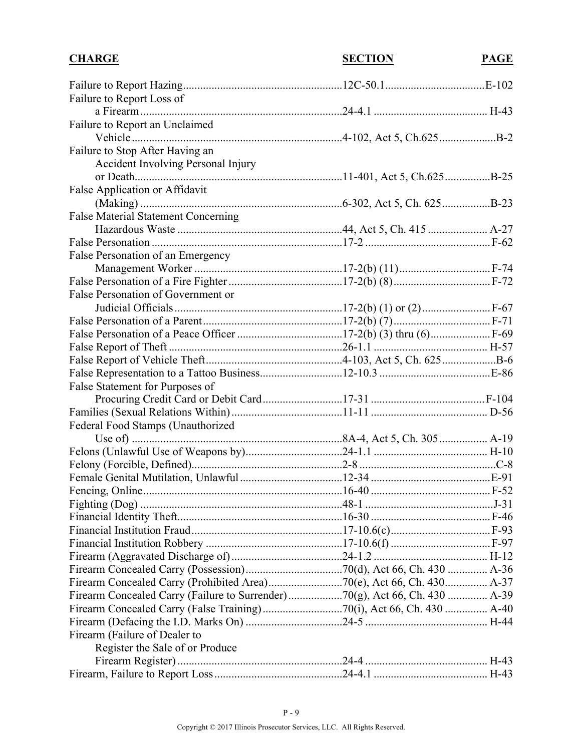| <b>CHARGE</b>                                                              | <b>SECTION</b> | <b>PAGE</b> |
|----------------------------------------------------------------------------|----------------|-------------|
|                                                                            |                |             |
| Failure to Report Loss of                                                  |                |             |
|                                                                            |                |             |
| Failure to Report an Unclaimed                                             |                |             |
|                                                                            |                |             |
| Failure to Stop After Having an                                            |                |             |
| Accident Involving Personal Injury                                         |                |             |
|                                                                            |                |             |
| False Application or Affidavit                                             |                |             |
|                                                                            |                |             |
| <b>False Material Statement Concerning</b>                                 |                |             |
|                                                                            |                |             |
|                                                                            |                |             |
| False Personation of an Emergency                                          |                |             |
|                                                                            |                |             |
|                                                                            |                |             |
| False Personation of Government or                                         |                |             |
|                                                                            |                |             |
|                                                                            |                |             |
|                                                                            |                |             |
|                                                                            |                |             |
|                                                                            |                |             |
|                                                                            |                |             |
| False Statement for Purposes of                                            |                |             |
|                                                                            |                |             |
|                                                                            |                |             |
| Federal Food Stamps (Unauthorized                                          |                |             |
|                                                                            |                |             |
|                                                                            |                |             |
|                                                                            |                |             |
|                                                                            |                |             |
|                                                                            |                |             |
|                                                                            |                |             |
|                                                                            |                |             |
|                                                                            |                |             |
|                                                                            |                |             |
|                                                                            |                |             |
|                                                                            |                |             |
| Firearm Concealed Carry (Prohibited Area)70(e), Act 66, Ch. 430 A-37       |                |             |
| Firearm Concealed Carry (Failure to Surrender)70(g), Act 66, Ch. 430  A-39 |                |             |
|                                                                            |                |             |
|                                                                            |                |             |
| Firearm (Failure of Dealer to                                              |                |             |
| Register the Sale of or Produce                                            |                |             |
|                                                                            |                |             |
|                                                                            |                |             |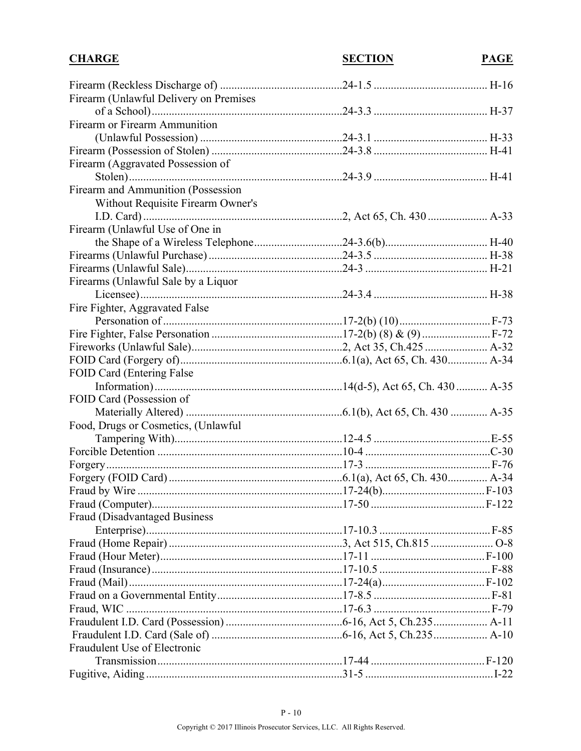| <b>CHARGE</b>                          | <b>SECTION</b> | <b>PAGE</b> |
|----------------------------------------|----------------|-------------|
|                                        |                |             |
| Firearm (Unlawful Delivery on Premises |                |             |
|                                        |                |             |
| Firearm or Firearm Ammunition          |                |             |
|                                        |                |             |
|                                        |                |             |
| Firearm (Aggravated Possession of      |                |             |
|                                        |                |             |
| Firearm and Ammunition (Possession     |                |             |
| Without Requisite Firearm Owner's      |                |             |
|                                        |                |             |
| Firearm (Unlawful Use of One in        |                |             |
|                                        |                |             |
|                                        |                |             |
|                                        |                |             |
| Firearms (Unlawful Sale by a Liquor    |                |             |
|                                        |                |             |
| Fire Fighter, Aggravated False         |                |             |
|                                        |                |             |
|                                        |                |             |
|                                        |                |             |
|                                        |                |             |
| FOID Card (Entering False)             |                |             |
|                                        |                |             |
| FOID Card (Possession of               |                |             |
|                                        |                |             |
| Food, Drugs or Cosmetics, (Unlawful    |                |             |
|                                        |                |             |
|                                        |                |             |
|                                        |                |             |
|                                        |                |             |
|                                        |                |             |
|                                        |                |             |
| <b>Fraud (Disadvantaged Business)</b>  |                |             |
|                                        |                |             |
|                                        |                |             |
|                                        |                |             |
|                                        |                |             |
|                                        |                |             |
|                                        |                |             |
|                                        |                |             |
|                                        |                |             |
|                                        |                |             |
| Fraudulent Use of Electronic           |                |             |
|                                        |                |             |
|                                        |                |             |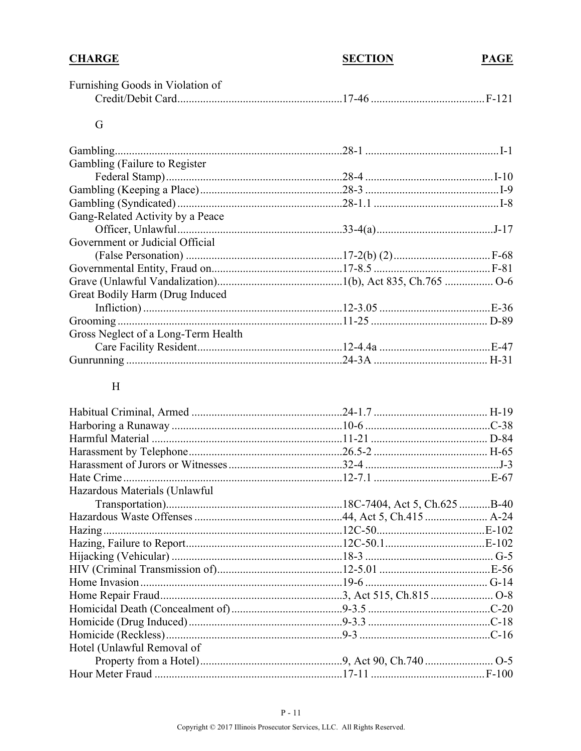| <b>CHARGE</b>                       | <b>SECTION</b> | <b>PAGE</b> |
|-------------------------------------|----------------|-------------|
| Furnishing Goods in Violation of    |                |             |
|                                     |                |             |
| G                                   |                |             |
| Gambling.                           |                |             |
| Gambling (Failure to Register)      |                |             |
|                                     |                |             |
|                                     |                |             |
|                                     |                |             |
| Gang-Related Activity by a Peace    |                |             |
|                                     |                |             |
| Government or Judicial Official     |                |             |
|                                     |                |             |
|                                     |                |             |
|                                     |                |             |
| Great Bodily Harm (Drug Induced     |                |             |
|                                     |                |             |
|                                     |                |             |
| Gross Neglect of a Long-Term Health |                |             |
|                                     |                |             |
|                                     |                |             |
|                                     |                |             |

### $\boldsymbol{\mathrm{H}}$

| Hazardous Materials (Unlawful |  |
|-------------------------------|--|
|                               |  |
|                               |  |
|                               |  |
|                               |  |
|                               |  |
|                               |  |
|                               |  |
|                               |  |
|                               |  |
|                               |  |
|                               |  |
| Hotel (Unlawful Removal of    |  |
|                               |  |
|                               |  |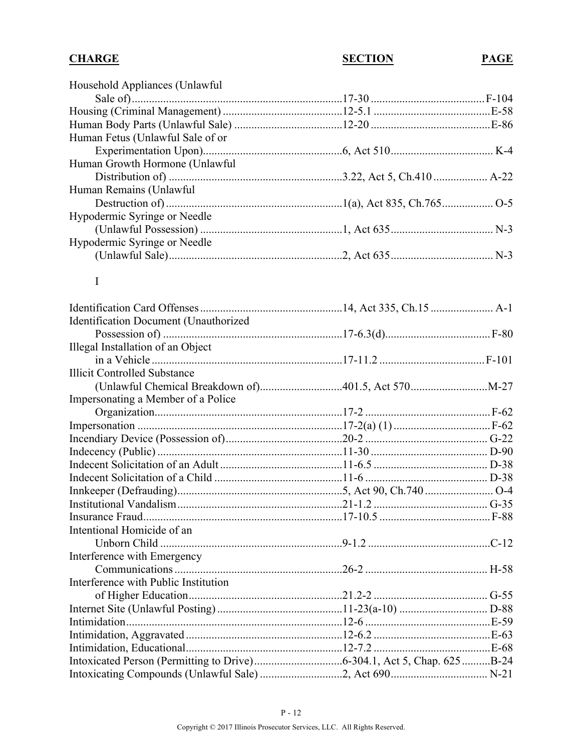| Household Appliances (Unlawful)       |  |
|---------------------------------------|--|
|                                       |  |
|                                       |  |
|                                       |  |
| Human Fetus (Unlawful Sale of or      |  |
|                                       |  |
| Human Growth Hormone (Unlawful        |  |
|                                       |  |
| Human Remains (Unlawful               |  |
|                                       |  |
| Hypodermic Syringe or Needle          |  |
|                                       |  |
| Hypodermic Syringe or Needle          |  |
|                                       |  |
|                                       |  |
| $\bf{I}$                              |  |
|                                       |  |
|                                       |  |
| Identification Document (Unauthorized |  |
|                                       |  |
| Illegal Installation of an Object     |  |
|                                       |  |
| <b>Illicit Controlled Substance</b>   |  |
|                                       |  |
| Impersonating a Member of a Police    |  |
|                                       |  |
|                                       |  |
|                                       |  |
|                                       |  |
|                                       |  |
|                                       |  |
|                                       |  |
|                                       |  |
|                                       |  |
| Intentional Homicide of an            |  |
|                                       |  |
| Interference with Emergency           |  |
|                                       |  |
| Interference with Public Institution  |  |
|                                       |  |
|                                       |  |
|                                       |  |
|                                       |  |
|                                       |  |
|                                       |  |
|                                       |  |
|                                       |  |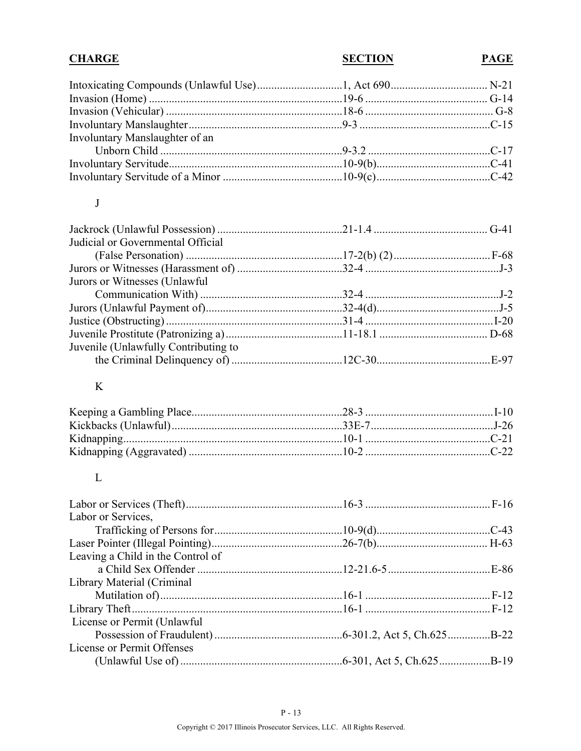| <b>CHARGE</b>                        | <b>SECTION</b> | <b>PAGE</b> |
|--------------------------------------|----------------|-------------|
|                                      |                |             |
|                                      |                |             |
|                                      |                |             |
|                                      |                |             |
| Involuntary Manslaughter of an       |                |             |
|                                      |                |             |
|                                      |                |             |
|                                      |                |             |
| J                                    |                |             |
|                                      |                |             |
| Judicial or Governmental Official    |                |             |
|                                      |                |             |
|                                      |                |             |
| Jurors or Witnesses (Unlawful        |                |             |
|                                      |                |             |
|                                      |                |             |
|                                      |                |             |
|                                      |                |             |
| Juvenile (Unlawfully Contributing to |                |             |
|                                      |                |             |
| K                                    |                |             |
|                                      |                |             |
|                                      |                |             |
|                                      |                |             |
|                                      |                |             |
| $\mathbf{L}$                         |                |             |
|                                      |                |             |
| Labor or Services,                   |                |             |
|                                      |                |             |
|                                      |                |             |
| Leaving a Child in the Control of    |                |             |
|                                      |                |             |
| <b>Library Material (Criminal</b>    |                |             |
|                                      |                |             |
|                                      |                |             |
| License or Permit (Unlawful          |                |             |
|                                      |                |             |
| <b>License or Permit Offenses</b>    |                |             |
|                                      |                |             |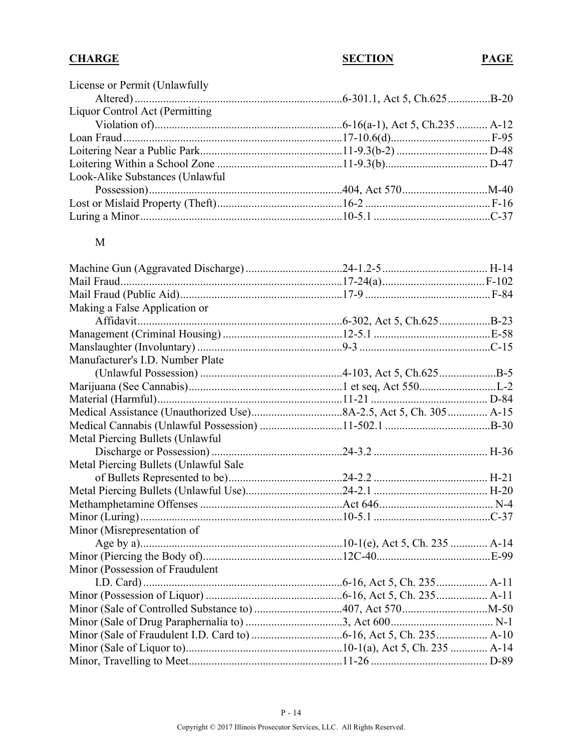| License or Permit (Unlawfully   |  |
|---------------------------------|--|
|                                 |  |
| Liquor Control Act (Permitting  |  |
|                                 |  |
|                                 |  |
|                                 |  |
|                                 |  |
| Look-Alike Substances (Unlawful |  |
|                                 |  |
|                                 |  |
|                                 |  |

#### M

| Making a False Application or         |        |
|---------------------------------------|--------|
|                                       |        |
|                                       |        |
|                                       |        |
| Manufacturer's I.D. Number Plate      |        |
|                                       |        |
|                                       |        |
|                                       |        |
|                                       |        |
|                                       |        |
| Metal Piercing Bullets (Unlawful      |        |
|                                       | . H-36 |
| Metal Piercing Bullets (Unlawful Sale |        |
|                                       |        |
|                                       |        |
|                                       |        |
|                                       |        |
| Minor (Misrepresentation of           |        |
|                                       |        |
|                                       |        |
| Minor (Possession of Fraudulent       |        |
|                                       |        |
|                                       |        |
|                                       |        |
|                                       |        |
|                                       |        |
|                                       |        |
|                                       |        |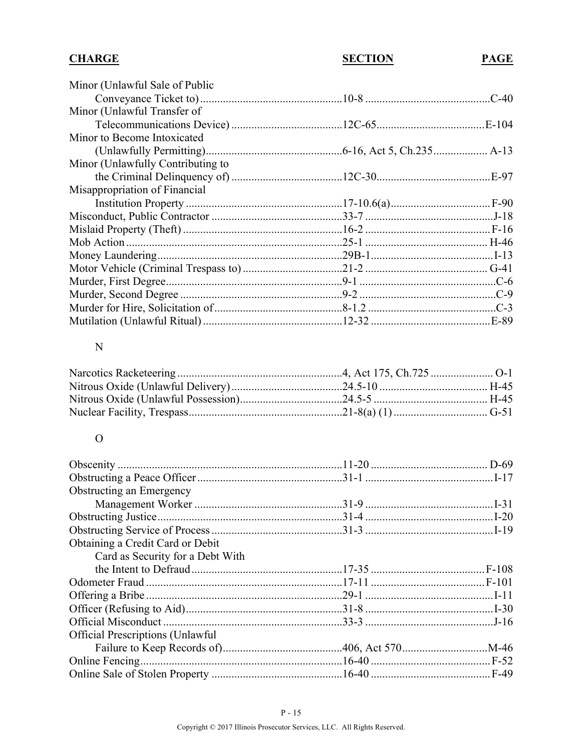| <b>CHARGE</b> | <b>SECTION</b> | <b>PAGE</b> |
|---------------|----------------|-------------|
|---------------|----------------|-------------|

| Minor (Unlawful Sale of Public    |         |
|-----------------------------------|---------|
|                                   | $C-40$  |
| Minor (Unlawful Transfer of       |         |
|                                   |         |
| Minor to Become Intoxicated       |         |
|                                   |         |
| Minor (Unlawfully Contributing to |         |
|                                   | $.E-97$ |
| Misappropriation of Financial     |         |
|                                   |         |
|                                   |         |
|                                   |         |
|                                   |         |
|                                   |         |
|                                   |         |
|                                   |         |
|                                   |         |
|                                   |         |
|                                   |         |
|                                   |         |

#### ${\bf N}$

# $\mathbf O$

| Obstructing an Emergency                |  |
|-----------------------------------------|--|
|                                         |  |
|                                         |  |
|                                         |  |
| Obtaining a Credit Card or Debit        |  |
| Card as Security for a Debt With        |  |
|                                         |  |
|                                         |  |
|                                         |  |
|                                         |  |
|                                         |  |
| <b>Official Prescriptions (Unlawful</b> |  |
|                                         |  |
|                                         |  |
|                                         |  |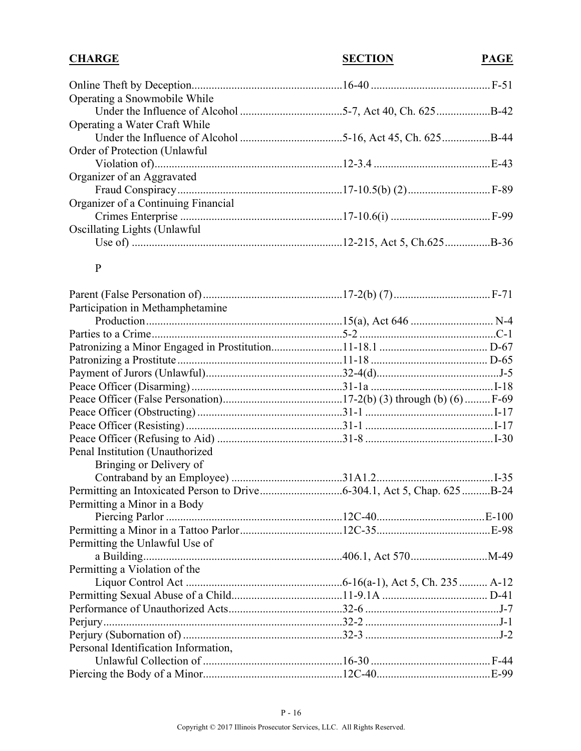| <b>CHARGE</b>                        | <b>SECTION</b> | <b>PAGE</b> |
|--------------------------------------|----------------|-------------|
|                                      |                |             |
| Operating a Snowmobile While         |                |             |
|                                      |                |             |
| Operating a Water Craft While        |                |             |
|                                      |                |             |
| Order of Protection (Unlawful)       |                |             |
|                                      |                |             |
| Organizer of an Aggravated           |                |             |
|                                      |                |             |
| Organizer of a Continuing Financial  |                |             |
|                                      |                |             |
| <b>Oscillating Lights (Unlawful)</b> |                |             |
|                                      |                |             |

#### P

| Participation in Methamphetamine     |  |
|--------------------------------------|--|
|                                      |  |
|                                      |  |
|                                      |  |
|                                      |  |
|                                      |  |
|                                      |  |
|                                      |  |
|                                      |  |
|                                      |  |
|                                      |  |
| Penal Institution (Unauthorized      |  |
| Bringing or Delivery of              |  |
|                                      |  |
|                                      |  |
| Permitting a Minor in a Body         |  |
|                                      |  |
|                                      |  |
| Permitting the Unlawful Use of       |  |
|                                      |  |
| Permitting a Violation of the        |  |
|                                      |  |
|                                      |  |
|                                      |  |
|                                      |  |
|                                      |  |
| Personal Identification Information, |  |
|                                      |  |
|                                      |  |
|                                      |  |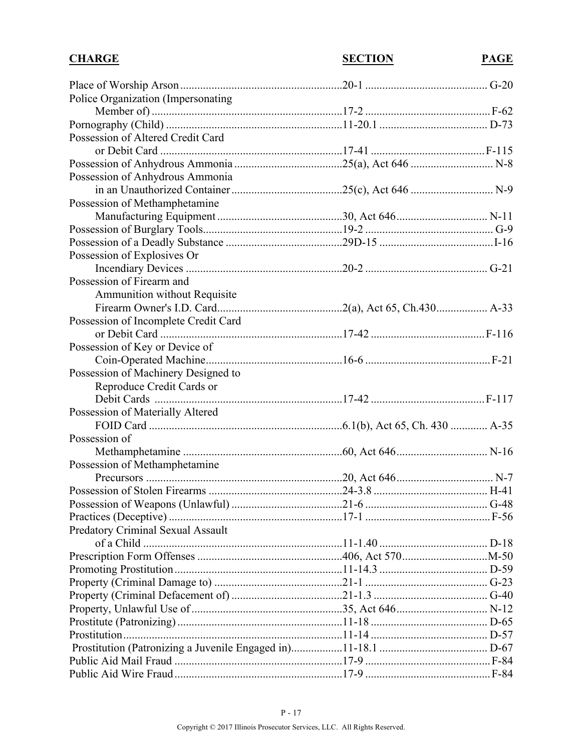| <b>CHARGE</b>                            | <b>SECTION</b> | <b>PAGE</b> |
|------------------------------------------|----------------|-------------|
|                                          |                |             |
| Police Organization (Impersonating       |                |             |
|                                          |                |             |
|                                          |                |             |
| Possession of Altered Credit Card        |                |             |
|                                          |                |             |
|                                          |                |             |
| Possession of Anhydrous Ammonia          |                |             |
|                                          |                |             |
| Possession of Methamphetamine            |                |             |
|                                          |                |             |
|                                          |                |             |
|                                          |                |             |
|                                          |                |             |
| Possession of Explosives Or              |                |             |
|                                          |                |             |
| Possession of Firearm and                |                |             |
| Ammunition without Requisite             |                |             |
|                                          |                |             |
| Possession of Incomplete Credit Card     |                |             |
|                                          |                |             |
| Possession of Key or Device of           |                |             |
|                                          |                |             |
| Possession of Machinery Designed to      |                |             |
| Reproduce Credit Cards or                |                |             |
|                                          |                |             |
| Possession of Materially Altered         |                |             |
|                                          |                |             |
| Possession of                            |                |             |
|                                          |                |             |
| Possession of Methamphetamine            |                |             |
|                                          |                |             |
|                                          |                |             |
|                                          |                |             |
|                                          |                |             |
| <b>Predatory Criminal Sexual Assault</b> |                |             |
|                                          |                |             |
|                                          |                |             |
|                                          |                |             |
|                                          |                |             |
|                                          |                |             |
|                                          |                |             |
|                                          |                |             |
|                                          |                |             |
|                                          |                |             |
|                                          |                |             |
|                                          |                |             |
|                                          |                |             |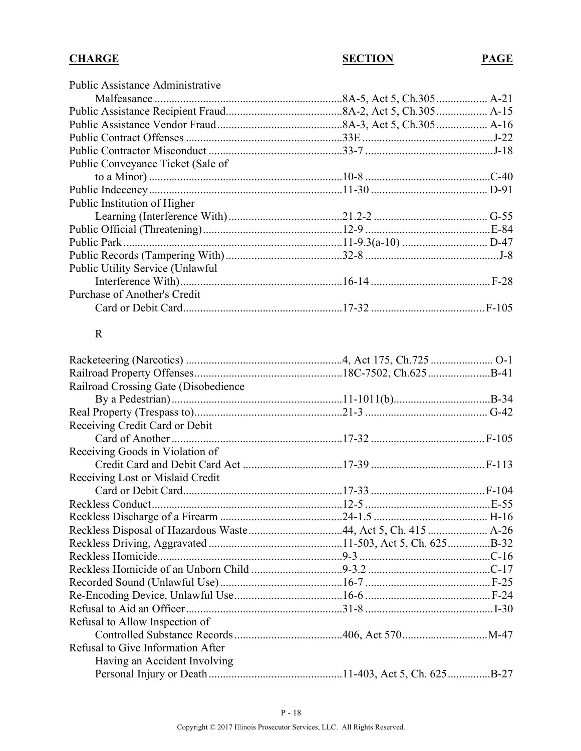| <b>Public Assistance Administrative</b>  |  |
|------------------------------------------|--|
|                                          |  |
|                                          |  |
|                                          |  |
|                                          |  |
|                                          |  |
| Public Conveyance Ticket (Sale of        |  |
|                                          |  |
|                                          |  |
| Public Institution of Higher             |  |
|                                          |  |
|                                          |  |
|                                          |  |
|                                          |  |
| <b>Public Utility Service (Unlawful)</b> |  |
|                                          |  |
| Purchase of Another's Credit             |  |
|                                          |  |

#### R

| Railroad Crossing Gate (Disobedience)                         |  |
|---------------------------------------------------------------|--|
|                                                               |  |
|                                                               |  |
| Receiving Credit Card or Debit                                |  |
|                                                               |  |
| Receiving Goods in Violation of                               |  |
|                                                               |  |
| Receiving Lost or Mislaid Credit                              |  |
|                                                               |  |
|                                                               |  |
|                                                               |  |
| Reckless Disposal of Hazardous Waste 44, Act 5, Ch. 415  A-26 |  |
|                                                               |  |
|                                                               |  |
|                                                               |  |
|                                                               |  |
|                                                               |  |
|                                                               |  |
| Refusal to Allow Inspection of                                |  |
|                                                               |  |
| Refusal to Give Information After                             |  |
| Having an Accident Involving                                  |  |
|                                                               |  |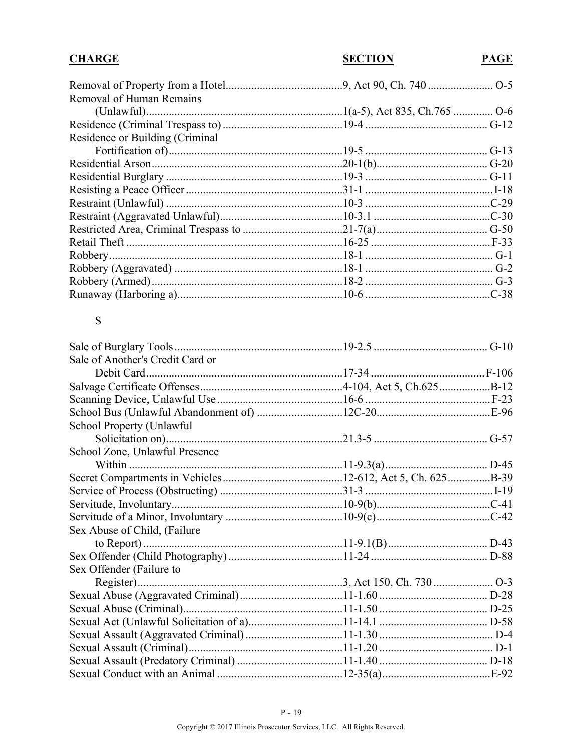# **CHARGE**

# **PAGE**

# $S$

| Sale of Another's Credit Card or |  |
|----------------------------------|--|
|                                  |  |
|                                  |  |
|                                  |  |
|                                  |  |
| School Property (Unlawful        |  |
|                                  |  |
| School Zone, Unlawful Presence   |  |
|                                  |  |
|                                  |  |
|                                  |  |
|                                  |  |
|                                  |  |
| Sex Abuse of Child, (Failure     |  |
|                                  |  |
|                                  |  |
| Sex Offender (Failure to         |  |
|                                  |  |
|                                  |  |
|                                  |  |
|                                  |  |
|                                  |  |
|                                  |  |
|                                  |  |
|                                  |  |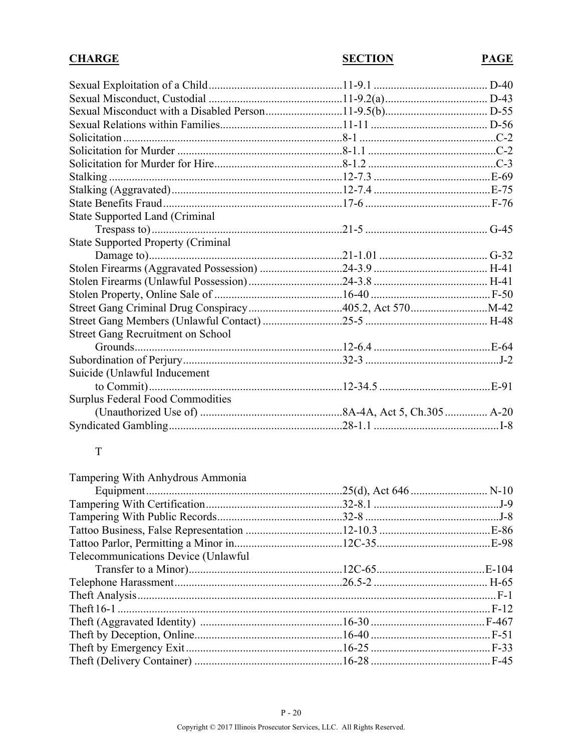# **CHARGE**

**SECTION** 

# **PAGE**

| <b>State Supported Land (Criminal</b>     |  |
|-------------------------------------------|--|
|                                           |  |
| <b>State Supported Property (Criminal</b> |  |
|                                           |  |
|                                           |  |
|                                           |  |
|                                           |  |
|                                           |  |
|                                           |  |
| <b>Street Gang Recruitment on School</b>  |  |
|                                           |  |
|                                           |  |
| Suicide (Unlawful Inducement              |  |
|                                           |  |
| <b>Surplus Federal Food Commodities</b>   |  |
|                                           |  |
|                                           |  |

# $\overline{T}$

| Tampering With Anhydrous Ammonia            |  |
|---------------------------------------------|--|
|                                             |  |
|                                             |  |
|                                             |  |
|                                             |  |
|                                             |  |
| <b>Telecommunications Device (Unlawful)</b> |  |
|                                             |  |
|                                             |  |
|                                             |  |
|                                             |  |
|                                             |  |
|                                             |  |
|                                             |  |
|                                             |  |
|                                             |  |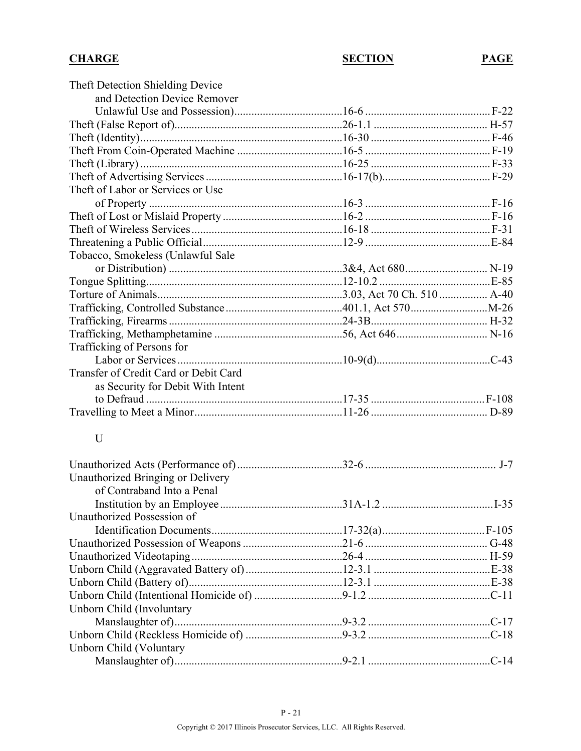| Theft Detection Shielding Device      |        |
|---------------------------------------|--------|
| and Detection Device Remover          |        |
|                                       |        |
|                                       |        |
|                                       |        |
|                                       |        |
|                                       |        |
|                                       |        |
| Theft of Labor or Services or Use     |        |
|                                       |        |
|                                       |        |
|                                       |        |
|                                       |        |
| Tobacco, Smokeless (Unlawful Sale     |        |
|                                       |        |
|                                       |        |
|                                       |        |
|                                       |        |
|                                       |        |
|                                       |        |
| Trafficking of Persons for            |        |
|                                       |        |
| Transfer of Credit Card or Debit Card |        |
| as Security for Debit With Intent     |        |
|                                       |        |
|                                       |        |
|                                       |        |
| $\mathbf U$                           |        |
|                                       |        |
|                                       |        |
| Unauthorized Bringing or Delivery     |        |
| of Contraband Into a Penal            |        |
|                                       | $I-35$ |
| Unauthorized Possession of            |        |
|                                       |        |
|                                       |        |
|                                       |        |
|                                       |        |
|                                       |        |
|                                       |        |
| Unborn Child (Involuntary             |        |
|                                       |        |
|                                       |        |
| Unborn Child (Voluntary               |        |
|                                       |        |
|                                       |        |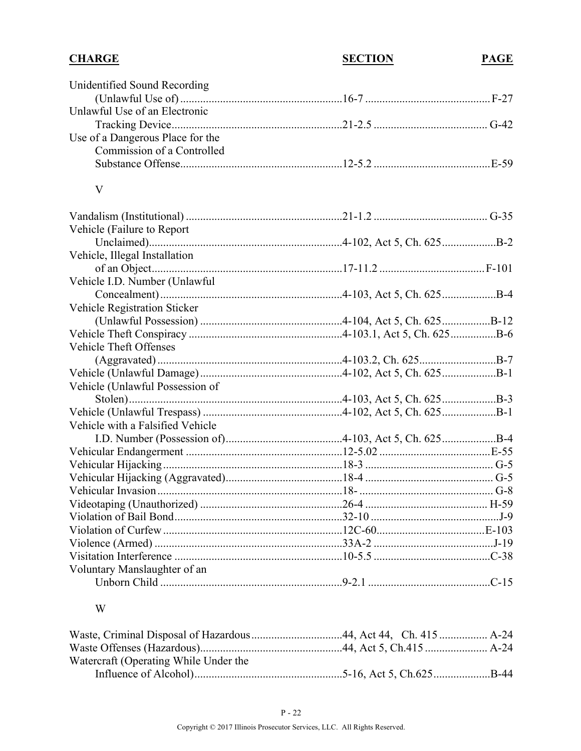| <b>CHARGE</b>                         | <b>SECTION</b> | <b>PAGE</b> |
|---------------------------------------|----------------|-------------|
| Unidentified Sound Recording          |                |             |
|                                       |                |             |
| Unlawful Use of an Electronic         |                |             |
|                                       |                |             |
| Use of a Dangerous Place for the      |                |             |
| Commission of a Controlled            |                |             |
|                                       |                |             |
| V                                     |                |             |
|                                       |                |             |
| Vehicle (Failure to Report)           |                |             |
|                                       |                |             |
| Vehicle, Illegal Installation         |                |             |
|                                       |                |             |
| Vehicle I.D. Number (Unlawful         |                |             |
|                                       |                |             |
| <b>Vehicle Registration Sticker</b>   |                |             |
|                                       |                |             |
|                                       |                |             |
| <b>Vehicle Theft Offenses</b>         |                |             |
|                                       |                |             |
|                                       |                |             |
| Vehicle (Unlawful Possession of       |                |             |
|                                       |                |             |
|                                       |                |             |
| Vehicle with a Falsified Vehicle      |                |             |
|                                       |                |             |
|                                       |                |             |
|                                       |                |             |
|                                       |                |             |
|                                       |                |             |
|                                       |                |             |
|                                       |                |             |
|                                       |                |             |
|                                       |                |             |
| Voluntary Manslaughter of an          |                |             |
|                                       |                |             |
| W                                     |                |             |
|                                       |                |             |
|                                       |                |             |
| Watercraft (Operating While Under the |                |             |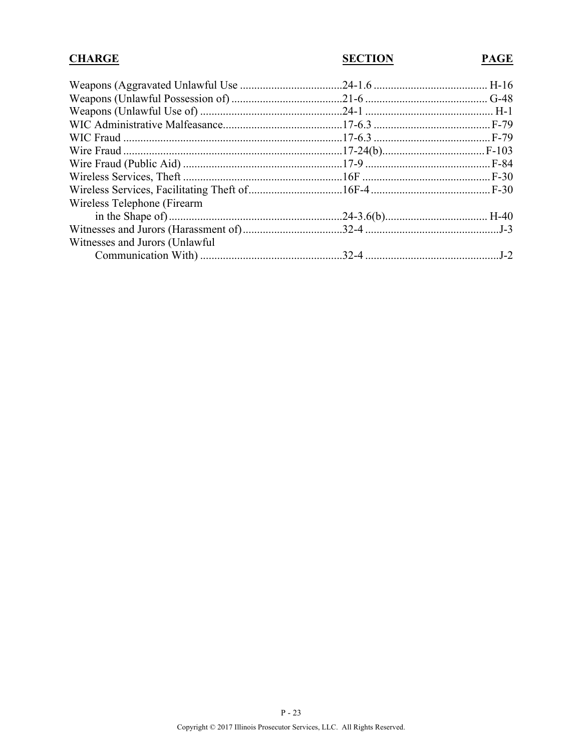| <b>CHARGE</b>                   | <b>SECTION</b> | <b>PAGE</b> |
|---------------------------------|----------------|-------------|
|                                 |                |             |
|                                 |                |             |
|                                 |                |             |
|                                 |                |             |
|                                 |                |             |
|                                 |                |             |
|                                 |                |             |
|                                 |                |             |
|                                 |                |             |
| Wireless Telephone (Firearm     |                |             |
|                                 |                |             |
|                                 |                |             |
| Witnesses and Jurors (Unlawful) |                |             |
|                                 |                |             |